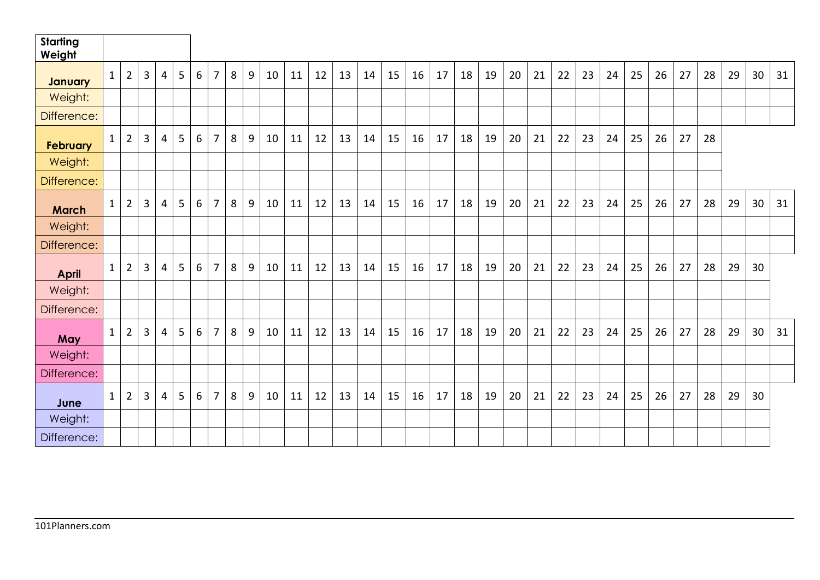| <b>Starting</b><br>Weight |              |                |                |   |   |                 |                |   |   |    |    |    |    |    |    |    |    |    |    |    |    |    |    |    |    |    |    |    |    |    |    |
|---------------------------|--------------|----------------|----------------|---|---|-----------------|----------------|---|---|----|----|----|----|----|----|----|----|----|----|----|----|----|----|----|----|----|----|----|----|----|----|
| January                   | $\mathbf{1}$ | $\overline{2}$ | 3              | 4 | 5 | 6               | $\overline{7}$ | 8 | 9 | 10 | 11 | 12 | 13 | 14 | 15 | 16 | 17 | 18 | 19 | 20 | 21 | 22 | 23 | 24 | 25 | 26 | 27 | 28 | 29 | 30 | 31 |
| Weight:                   |              |                |                |   |   |                 |                |   |   |    |    |    |    |    |    |    |    |    |    |    |    |    |    |    |    |    |    |    |    |    |    |
| Difference:               |              |                |                |   |   |                 |                |   |   |    |    |    |    |    |    |    |    |    |    |    |    |    |    |    |    |    |    |    |    |    |    |
| <b>February</b>           | $\mathbf{1}$ | $\overline{2}$ | 3              | 4 | 5 | 6               | $\overline{7}$ | 8 | 9 | 10 | 11 | 12 | 13 | 14 | 15 | 16 | 17 | 18 | 19 | 20 | 21 | 22 | 23 | 24 | 25 | 26 | 27 | 28 |    |    |    |
| Weight:                   |              |                |                |   |   |                 |                |   |   |    |    |    |    |    |    |    |    |    |    |    |    |    |    |    |    |    |    |    |    |    |    |
| Difference:               |              |                |                |   |   |                 |                |   |   |    |    |    |    |    |    |    |    |    |    |    |    |    |    |    |    |    |    |    |    |    |    |
| <b>March</b>              | $\mathbf{1}$ | $\overline{2}$ | $\overline{3}$ | 4 | 5 | 6               | $\overline{7}$ | 8 | 9 | 10 | 11 | 12 | 13 | 14 | 15 | 16 | 17 | 18 | 19 | 20 | 21 | 22 | 23 | 24 | 25 | 26 | 27 | 28 | 29 | 30 | 31 |
| Weight:                   |              |                |                |   |   |                 |                |   |   |    |    |    |    |    |    |    |    |    |    |    |    |    |    |    |    |    |    |    |    |    |    |
| Difference:               |              |                |                |   |   |                 |                |   |   |    |    |    |    |    |    |    |    |    |    |    |    |    |    |    |    |    |    |    |    |    |    |
| <b>April</b>              | $\mathbf 1$  | $\overline{2}$ | $\overline{3}$ | 4 | 5 | 6               | $\overline{7}$ | 8 | 9 | 10 | 11 | 12 | 13 | 14 | 15 | 16 | 17 | 18 | 19 | 20 | 21 | 22 | 23 | 24 | 25 | 26 | 27 | 28 | 29 | 30 |    |
| Weight:                   |              |                |                |   |   |                 |                |   |   |    |    |    |    |    |    |    |    |    |    |    |    |    |    |    |    |    |    |    |    |    |    |
| Difference:               |              |                |                |   |   |                 |                |   |   |    |    |    |    |    |    |    |    |    |    |    |    |    |    |    |    |    |    |    |    |    |    |
| May                       | $\mathbf{1}$ | $\overline{2}$ | 3              | 4 | 5 | 6               | $\overline{7}$ | 8 | 9 | 10 | 11 | 12 | 13 | 14 | 15 | 16 | 17 | 18 | 19 | 20 | 21 | 22 | 23 | 24 | 25 | 26 | 27 | 28 | 29 | 30 | 31 |
| Weight:                   |              |                |                |   |   |                 |                |   |   |    |    |    |    |    |    |    |    |    |    |    |    |    |    |    |    |    |    |    |    |    |    |
| Difference:               |              |                |                |   |   |                 |                |   |   |    |    |    |    |    |    |    |    |    |    |    |    |    |    |    |    |    |    |    |    |    |    |
| June                      | $\mathbf{1}$ | $\overline{2}$ | 3              | 4 | 5 | $6\phantom{1}6$ | $\overline{7}$ | 8 | 9 | 10 | 11 | 12 | 13 | 14 | 15 | 16 | 17 | 18 | 19 | 20 | 21 | 22 | 23 | 24 | 25 | 26 | 27 | 28 | 29 | 30 |    |
| Weight:                   |              |                |                |   |   |                 |                |   |   |    |    |    |    |    |    |    |    |    |    |    |    |    |    |    |    |    |    |    |    |    |    |
| Difference:               |              |                |                |   |   |                 |                |   |   |    |    |    |    |    |    |    |    |    |    |    |    |    |    |    |    |    |    |    |    |    |    |